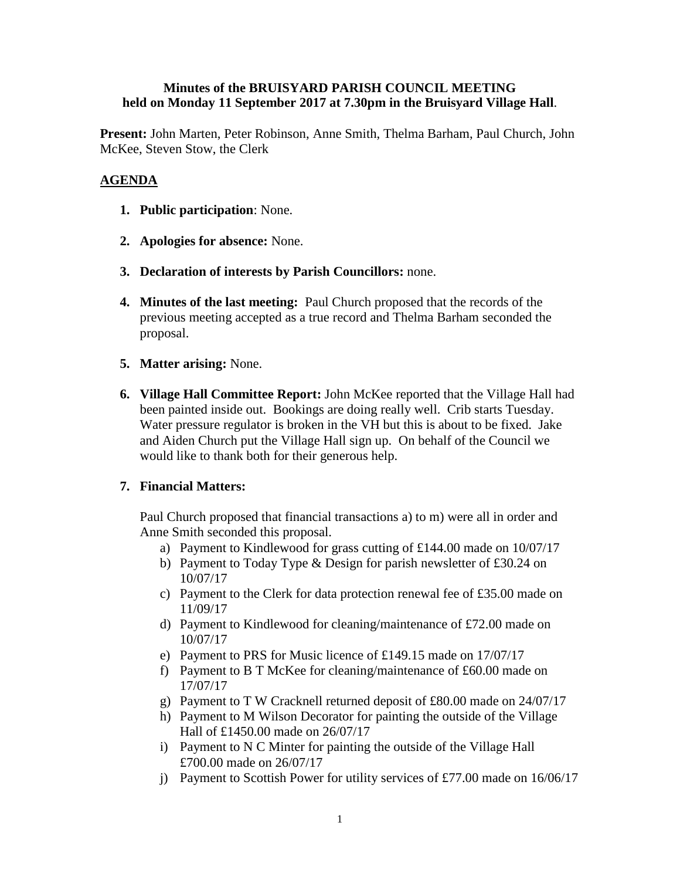# **Minutes of the BRUISYARD PARISH COUNCIL MEETING held on Monday 11 September 2017 at 7.30pm in the Bruisyard Village Hall**.

**Present:** John Marten, Peter Robinson, Anne Smith, Thelma Barham, Paul Church, John McKee, Steven Stow, the Clerk

# **AGENDA**

- **1. Public participation**: None.
- **2. Apologies for absence:** None.
- **3. Declaration of interests by Parish Councillors:** none.
- **4. Minutes of the last meeting:** Paul Church proposed that the records of the previous meeting accepted as a true record and Thelma Barham seconded the proposal.
- **5. Matter arising:** None.
- **6. Village Hall Committee Report:** John McKee reported that the Village Hall had been painted inside out. Bookings are doing really well. Crib starts Tuesday. Water pressure regulator is broken in the VH but this is about to be fixed. Jake and Aiden Church put the Village Hall sign up. On behalf of the Council we would like to thank both for their generous help.

# **7. Financial Matters:**

Paul Church proposed that financial transactions a) to m) were all in order and Anne Smith seconded this proposal.

- a) Payment to Kindlewood for grass cutting of £144.00 made on 10/07/17
- b) Payment to Today Type & Design for parish newsletter of £30.24 on 10/07/17
- c) Payment to the Clerk for data protection renewal fee of £35.00 made on 11/09/17
- d) Payment to Kindlewood for cleaning/maintenance of £72.00 made on 10/07/17
- e) Payment to PRS for Music licence of £149.15 made on 17/07/17
- f) Payment to B T McKee for cleaning/maintenance of £60.00 made on 17/07/17
- g) Payment to T W Cracknell returned deposit of £80.00 made on 24/07/17
- h) Payment to M Wilson Decorator for painting the outside of the Village Hall of £1450.00 made on 26/07/17
- i) Payment to N C Minter for painting the outside of the Village Hall £700.00 made on 26/07/17
- j) Payment to Scottish Power for utility services of £77.00 made on 16/06/17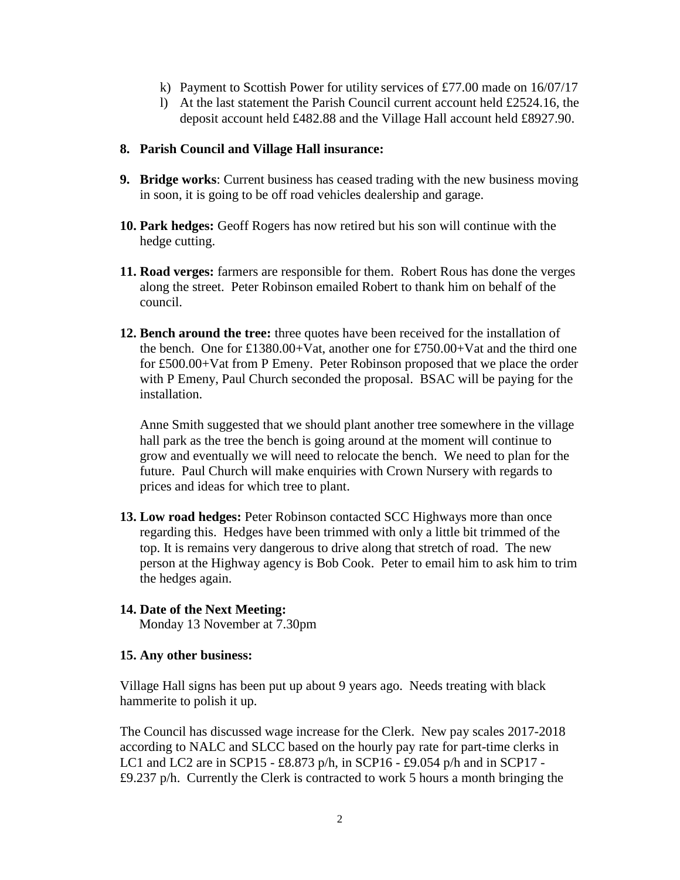- k) Payment to Scottish Power for utility services of £77.00 made on  $16/07/17$
- l) At the last statement the Parish Council current account held £2524.16, the deposit account held £482.88 and the Village Hall account held £8927.90.

#### **8. Parish Council and Village Hall insurance:**

- **9. Bridge works**: Current business has ceased trading with the new business moving in soon, it is going to be off road vehicles dealership and garage.
- **10. Park hedges:** Geoff Rogers has now retired but his son will continue with the hedge cutting.
- **11. Road verges:** farmers are responsible for them. Robert Rous has done the verges along the street. Peter Robinson emailed Robert to thank him on behalf of the council.
- **12. Bench around the tree:** three quotes have been received for the installation of the bench. One for £1380.00+Vat, another one for £750.00+Vat and the third one for £500.00+Vat from P Emeny. Peter Robinson proposed that we place the order with P Emeny, Paul Church seconded the proposal. BSAC will be paying for the installation.

Anne Smith suggested that we should plant another tree somewhere in the village hall park as the tree the bench is going around at the moment will continue to grow and eventually we will need to relocate the bench. We need to plan for the future. Paul Church will make enquiries with Crown Nursery with regards to prices and ideas for which tree to plant.

**13. Low road hedges:** Peter Robinson contacted SCC Highways more than once regarding this. Hedges have been trimmed with only a little bit trimmed of the top. It is remains very dangerous to drive along that stretch of road. The new person at the Highway agency is Bob Cook. Peter to email him to ask him to trim the hedges again.

# **14. Date of the Next Meeting:**

Monday 13 November at 7.30pm

# **15. Any other business:**

Village Hall signs has been put up about 9 years ago. Needs treating with black hammerite to polish it up.

The Council has discussed wage increase for the Clerk. New pay scales 2017-2018 according to NALC and SLCC based on the hourly pay rate for part-time clerks in LC1 and LC2 are in SCP15 - £8.873 p/h, in SCP16 - £9.054 p/h and in SCP17 - £9.237 p/h. Currently the Clerk is contracted to work 5 hours a month bringing the